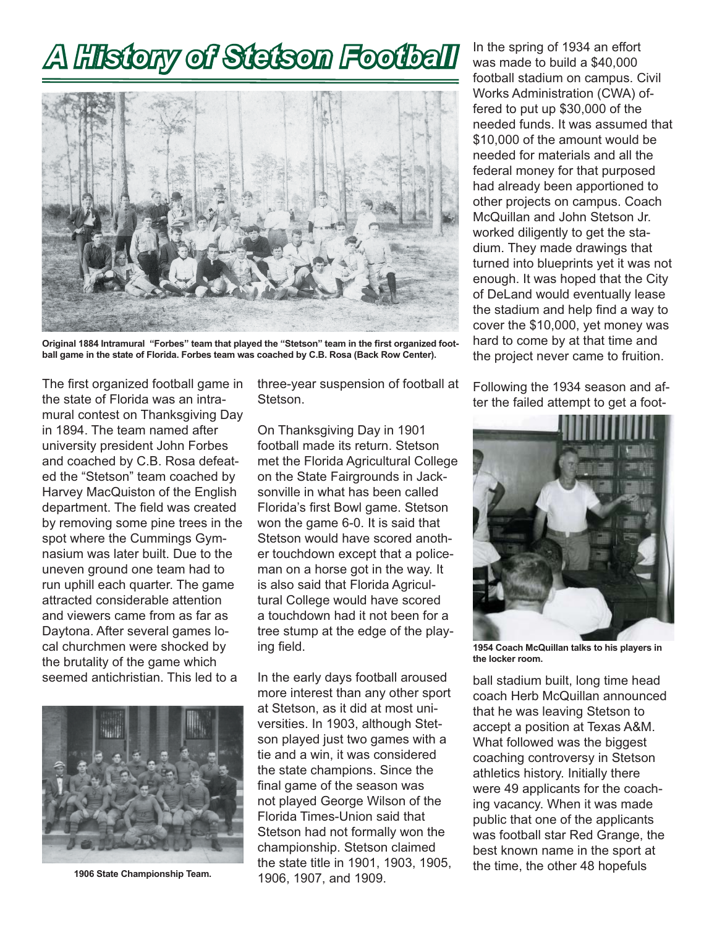# *A History of Stetson Football Football* In the spring of 1934 an effort



Original 1884 Intramural "Forbes" team that played the "Stetson" team in the first organized foot**ball game in the state of Florida. Forbes team was coached by C.B. Rosa (Back Row Center).**

The first organized football game in the state of Florida was an intramural contest on Thanksgiving Day in 1894. The team named after university president John Forbes and coached by C.B. Rosa defeated the "Stetson" team coached by Harvey MacQuiston of the English department. The field was created by removing some pine trees in the spot where the Cummings Gymnasium was later built. Due to the uneven ground one team had to run uphill each quarter. The game attracted considerable attention and viewers came from as far as Daytona. After several games local churchmen were shocked by the brutality of the game which seemed antichristian. This led to a



**1906 State Championship Team.**

three-year suspension of football at **Stetson** 

On Thanksgiving Day in 1901 football made its return. Stetson met the Florida Agricultural College on the State Fairgrounds in Jacksonville in what has been called Florida's first Bowl game. Stetson won the game 6-0. It is said that Stetson would have scored another touchdown except that a policeman on a horse got in the way. It is also said that Florida Agricultural College would have scored a touchdown had it not been for a tree stump at the edge of the playing field.

In the early days football aroused more interest than any other sport at Stetson, as it did at most universities. In 1903, although Stetson played just two games with a tie and a win, it was considered the state champions. Since the final game of the season was not played George Wilson of the Florida Times-Union said that Stetson had not formally won the championship. Stetson claimed the state title in 1901, 1903, 1905, 1906, 1907, and 1909.

was made to build a \$40,000 football stadium on campus. Civil Works Administration (CWA) offered to put up \$30,000 of the needed funds. It was assumed that \$10,000 of the amount would be needed for materials and all the federal money for that purposed had already been apportioned to other projects on campus. Coach McQuillan and John Stetson Jr. worked diligently to get the stadium. They made drawings that turned into blueprints yet it was not enough. It was hoped that the City of DeLand would eventually lease the stadium and help find a way to cover the \$10,000, yet money was hard to come by at that time and the project never came to fruition.

Following the 1934 season and after the failed attempt to get a foot-



**1954 Coach McQuillan talks to his players in the locker room.**

ball stadium built, long time head coach Herb McQuillan announced that he was leaving Stetson to accept a position at Texas A&M. What followed was the biggest coaching controversy in Stetson athletics history. Initially there were 49 applicants for the coaching vacancy. When it was made public that one of the applicants was football star Red Grange, the best known name in the sport at the time, the other 48 hopefuls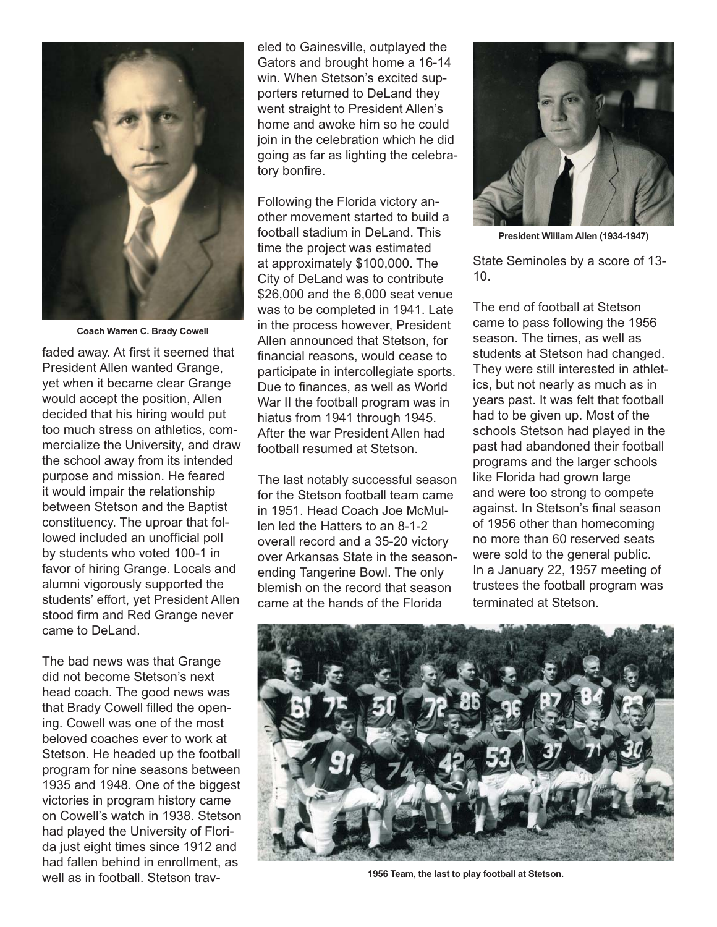

**Coach Warren C. Brady Cowell**

faded away. At first it seemed that President Allen wanted Grange, yet when it became clear Grange would accept the position, Allen decided that his hiring would put too much stress on athletics, commercialize the University, and draw the school away from its intended purpose and mission. He feared it would impair the relationship between Stetson and the Baptist constituency. The uproar that followed included an unofficial poll by students who voted 100-1 in favor of hiring Grange. Locals and alumni vigorously supported the students' effort, yet President Allen stood firm and Red Grange never came to DeLand.

The bad news was that Grange did not become Stetson's next head coach. The good news was that Brady Cowell filled the opening. Cowell was one of the most beloved coaches ever to work at Stetson. He headed up the football program for nine seasons between 1935 and 1948. One of the biggest victories in program history came on Cowell's watch in 1938. Stetson had played the University of Florida just eight times since 1912 and had fallen behind in enrollment, as well as in football. Stetson trav-<br>**1956 Team, the last to play football at Stetson.** 

eled to Gainesville, outplayed the Gators and brought home a 16-14 win. When Stetson's excited supporters returned to DeLand they went straight to President Allen's home and awoke him so he could join in the celebration which he did going as far as lighting the celebratory bonfire.

Following the Florida victory another movement started to build a football stadium in DeLand. This time the project was estimated at approximately \$100,000. The City of DeLand was to contribute \$26,000 and the 6,000 seat venue was to be completed in 1941. Late in the process however, President Allen announced that Stetson, for financial reasons, would cease to participate in intercollegiate sports. Due to finances, as well as World War II the football program was in hiatus from 1941 through 1945. After the war President Allen had football resumed at Stetson.

The last notably successful season for the Stetson football team came in 1951. Head Coach Joe McMullen led the Hatters to an 8-1-2 overall record and a 35-20 victory over Arkansas State in the seasonending Tangerine Bowl. The only blemish on the record that season came at the hands of the Florida



**President William Allen (1934-1947)**

State Seminoles by a score of 13- 10.

The end of football at Stetson came to pass following the 1956 season. The times, as well as students at Stetson had changed. They were still interested in athletics, but not nearly as much as in years past. It was felt that football had to be given up. Most of the schools Stetson had played in the past had abandoned their football programs and the larger schools like Florida had grown large and were too strong to compete against. In Stetson's final season of 1956 other than homecoming no more than 60 reserved seats were sold to the general public. In a January 22, 1957 meeting of trustees the football program was terminated at Stetson.

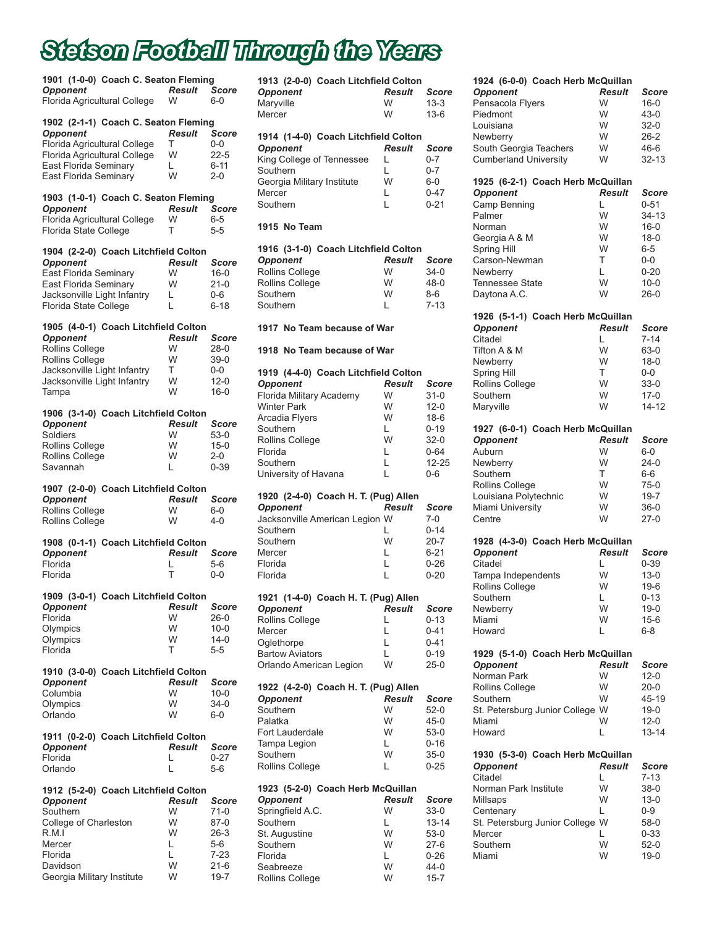## *Stetson Football Through the Years*

| <b>Opponent</b>              | 1901 (1-0-0) Coach C. Seaton Fleming | <b>Result</b> | Score    |
|------------------------------|--------------------------------------|---------------|----------|
| Florida Agricultural College |                                      | W             | 6-0      |
| <b>Opponent</b>              | 1902 (2-1-1) Coach C. Seaton Fleming | <b>Result</b> | Score    |
| Florida Agricultural College |                                      | т             | $0-0$    |
| Florida Agricultural College |                                      | W             | $22 - 5$ |
| East Florida Seminary        |                                      | L.            | $6 - 11$ |
| East Florida Seminary        |                                      | W             | $2 - 0$  |
| <b>Opponent</b>              | 1903 (1-0-1) Coach C. Seaton Fleming | <b>Result</b> | Score    |
| Florida Agricultural College |                                      | W             | $6-5$    |
| Florida State College        |                                      | т             | $5 - 5$  |
| <b>Opponent</b>              | 1904 (2-2-0) Coach Litchfield Colton | <b>Result</b> | Score    |
| East Florida Seminary        |                                      | W             | $16 - 0$ |
| East Florida Seminary        |                                      | W             | $21 - 0$ |
| Jacksonville Light Infantry  |                                      | L.            | $0 - 6$  |
| Florida State College        |                                      | L             | $6 - 18$ |
| <b>Opponent</b>              | 1905 (4-0-1) Coach Litchfield Colton | <b>Result</b> | Score    |
| <b>Rollins College</b>       |                                      | W             | $28-0$   |
| <b>Rollins College</b>       |                                      | W             | $39-0$   |
| Jacksonville Light Infantry  |                                      | T             | $0-0$    |
| Jacksonville Light Infantry  |                                      | W             | $12 - 0$ |
| Tampa                        |                                      | W             | $16 - 0$ |
| <b>Opponent</b>              | 1906 (3-1-0) Coach Litchfield Colton | <b>Result</b> | Score    |
| Soldiers                     |                                      | W             | $53-0$   |
| <b>Rollins College</b>       |                                      | W             | $15 - 0$ |
| <b>Rollins College</b>       |                                      | W             | $2 - 0$  |
| Savannah                     |                                      | L             | $0 - 39$ |
| <b>Opponent</b>              | 1907 (2-0-0) Coach Litchfield Colton | <b>Result</b> | Score    |
| <b>Rollins College</b>       |                                      | W             | $6-0$    |
| Rollins College              |                                      | W             | $4 - 0$  |
| <b>Opponent</b>              | 1908 (0-1-1) Coach Litchfield Colton | <b>Result</b> | Score    |
| Florida                      |                                      | L             | 5-6      |
| Florida                      |                                      | Т             | 0-0      |
| <b>Opponent</b>              | 1909 (3-0-1) Coach Litchfield Colton | <b>Result</b> | Score    |
| Florida                      |                                      | W             | 26-0     |
| Olympics                     |                                      | W             | $10 - 0$ |
| Olympics                     |                                      | W             | $14 - 0$ |
| Florida                      |                                      | т             | 5-5      |
| <b>Opponent</b>              | 1910 (3-0-0) Coach Litchfield Colton | <b>Result</b> | Score    |
| Columbia                     |                                      | W             | $10 - 0$ |
| Olympics                     |                                      | W             | 34-0     |
| Orlando                      |                                      | W             | $6-0$    |
| <b>Opponent</b>              | 1911 (0-2-0) Coach Litchfield Colton | <b>Result</b> | Score    |
| Florida                      |                                      | L             | $0 - 27$ |
| Orlando                      |                                      | L             | 5-6      |
| <b>Opponent</b>              | 1912 (5-2-0) Coach Litchfield Colton | <b>Result</b> | Score    |
| Southern                     |                                      | W             | 71-0     |
| College of Charleston        |                                      | W             | $87-0$   |
| R.M.I                        |                                      | W             | $26-3$   |
| Mercer                       |                                      | L             | 5-6      |
| Florida                      |                                      | L             | 7-23     |
| Davidson                     |                                      | W             | $21 - 6$ |

Davidson W 21-6<br>Georgia Military Institute W 19-7

Georgia Military Institute

| 1913 (2-0-0) Coach Litchfield Colton<br><b>Opponent</b><br>Maryville<br>Mercer                                                                                                                            | <b>Result</b><br>W<br>W                               | Score<br>$13 - 3$<br>$13-6$                                                                     |
|-----------------------------------------------------------------------------------------------------------------------------------------------------------------------------------------------------------|-------------------------------------------------------|-------------------------------------------------------------------------------------------------|
| 1914 (1-4-0) Coach Litchfield Colton<br><b>Opponent</b><br>King College of Tennessee<br>Southern<br>Georgia Military Institute<br>Mercer<br>Southern                                                      | <b>Result</b><br>L<br>L<br>W<br>L<br>L                | Score<br>$0 - 7$<br>$0 - 7$<br>$6-0$<br>$0 - 47$<br>$0 - 21$                                    |
| 1915 No Team                                                                                                                                                                                              |                                                       |                                                                                                 |
| 1916 (3-1-0) Coach Litchfield Colton<br><b>Opponent</b><br><b>Rollins College</b><br><b>Rollins College</b><br>Southern<br>Southern                                                                       | <b>Result</b><br>W<br>W<br>W<br>L                     | Score<br>$34-0$<br>$48 - 0$<br>$8 - 6$<br>$7 - 13$                                              |
| 1917 No Team because of War                                                                                                                                                                               |                                                       |                                                                                                 |
| 1918 No Team because of War                                                                                                                                                                               |                                                       |                                                                                                 |
| 1919 (4-4-0) Coach Litchfield Colton<br><b>Opponent</b><br>Florida Military Academy<br><b>Winter Park</b><br>Arcadia Flyers<br>Southern<br>Rollins College<br>Florida<br>Southern<br>University of Havana | <b>Result</b><br>W<br>W<br>W<br>L<br>W<br>L<br>L<br>L | Score<br>$31-0$<br>$12 - 0$<br>$18-6$<br>$0 - 19$<br>$32-0$<br>$0 - 64$<br>$12 - 25$<br>$0 - 6$ |
| 1920 (2-4-0) Coach H. T. (Pug) Allen<br><b>Opponent</b><br>Jacksonville American Legion W<br>Southern<br>Southern<br>Mercer<br>Florida<br>Florida                                                         | <b>Result</b><br>L<br>W<br>L<br>L<br>L                | Score<br>$7-0$<br>$0 - 14$<br>$20 - 7$<br>$6 - 21$<br>$0 - 26$<br>$0 - 20$                      |
| 1921 (1-4-0) Coach H. T. (Pug) Allen<br><b>Opponent</b><br>Rollins College<br>Mercer<br>Oglethorpe<br><b>Bartow Aviators</b><br>Orlando American Legion                                                   | Result<br>L<br>L<br>L<br>L<br>W                       | Score<br>0-13<br>0-41<br>$0 - 41$<br>$0 - 19$<br>$25-0$                                         |
| 1922 (4-2-0) Coach H. T. (Pug) Allen<br><b>Opponent</b><br>Southern<br>Palatka<br>Fort Lauderdale<br>Tampa Legion<br>Southern<br>Rollins College                                                          | Result<br>W<br>W<br>W<br>L<br>W<br>L                  | Score<br>$52-0$<br>45-0<br>$53-0$<br>0-16<br>$35-0$<br>$0 - 25$                                 |
| 1923 (5-2-0) Coach Herb McQuillan<br><b>Opponent</b><br>Springfield A.C.<br>Southern<br>St. Augustine<br>Southern<br>Florida<br>Seabreeze                                                                 | <b>Result</b><br>W<br>Г<br>W<br>W<br>L<br>W           | Score<br>$33-0$<br>13-14<br>53-0<br>27-6<br>0-26<br>44-0                                        |

Seabreeze W 44-0<br>Rollins College W 15-7

Rollins College

| 1924 (6-0-0) Coach Herb McQuillan<br><b>Opponent</b><br>Pensacola Flyers<br>Piedmont<br>Louisiana<br>Newberry<br>South Georgia Teachers<br><b>Cumberland University</b>                                | <b>Result</b><br>W<br>W<br>W<br>W<br>W<br>W                | <b>Score</b><br>$16 - 0$<br>$43 - 0$<br>$32-0$<br>$26 - 2$<br>$46 - 6$<br>$32 - 13$                    |
|--------------------------------------------------------------------------------------------------------------------------------------------------------------------------------------------------------|------------------------------------------------------------|--------------------------------------------------------------------------------------------------------|
| 1925 (6-2-1) Coach Herb McQuillan<br><b>Opponent</b><br>Camp Benning<br>Palmer<br>Norman<br>Georgia A & M<br><b>Spring Hill</b><br>Carson-Newman<br>Newberry<br><b>Tennessee State</b><br>Daytona A.C. | <b>Result</b><br>L<br>W<br>W<br>W<br>W<br>Τ<br>L<br>W<br>W | Score<br>$0 - 51$<br>$34-13$<br>$16 - 0$<br>$18-0$<br>$6 - 5$<br>0-0<br>$0 - 20$<br>$10 - 0$<br>$26-0$ |
| 1926 (5-1-1) Coach Herb McQuillan<br><b>Opponent</b><br>Citadel<br>Tifton A & M<br>Newberry<br>Spring Hill<br>Rollins College<br>Southern<br>Maryville                                                 | <b>Result</b><br>L<br>W<br>W<br>T<br>W<br>W<br>W           | Score<br>$7 - 14$<br>63-0<br>$18 - 0$<br>0-0<br>$33-0$<br>$17 - 0$<br>$14 - 12$                        |
| 1927 (6-0-1) Coach Herb McQuillan<br><b>Opponent</b><br>Auburn<br>Newberry<br>Southern<br><b>Rollins College</b><br>Louisiana Polytechnic<br>Miami University<br>Centre                                | <b>Result</b><br>W<br>W<br>T<br>W<br>W<br>W<br>W           | Score<br>$6-0$<br>$24-0$<br>$6-6$<br>$75-0$<br>$19 - 7$<br>$36-0$<br>$27-0$                            |
| 1928 (4-3-0) Coach Herb McQuillan<br><b>Opponent</b><br>Citadel<br>Tampa Independents<br><b>Rollins College</b><br>Southern<br>Newberry<br>Miami<br>Howard                                             | <b>Result</b><br>L<br>W<br>W<br>L<br>W<br>W<br>L           | Score<br>$0 - 39$<br>$13 - 0$<br>$19-6$<br>0-13<br>19-0<br>$15 - 6$<br>$6 - 8$                         |
| 1929 (5-1-0) Coach Herb McQuillan<br><b>Opponent</b><br>Norman Park<br>Rollins College<br>Southern<br>St. Petersburg Junior College W<br>Miami<br>Howard                                               | Result<br>W<br>W<br>W<br>W<br>L                            | Score<br>$12 - 0$<br>20-0<br>45-19<br>$19-0$<br>$12 - 0$<br>13-14                                      |
| 1930 (5-3-0) Coach Herb McQuillan<br><b>Opponent</b><br>Citadel<br>Norman Park Institute<br>Millsaps<br>Centenary<br>St. Petersburg Junior College<br>Mercer<br>Southern<br>Miami                      | Result<br>L<br>W<br>W<br>L<br>W<br>L<br>W<br>W             | Score<br>$7 - 13$<br>38-0<br>$13 - 0$<br>$0 - 9$<br>58-0<br>$0 - 33$<br>52-0<br>$19-0$                 |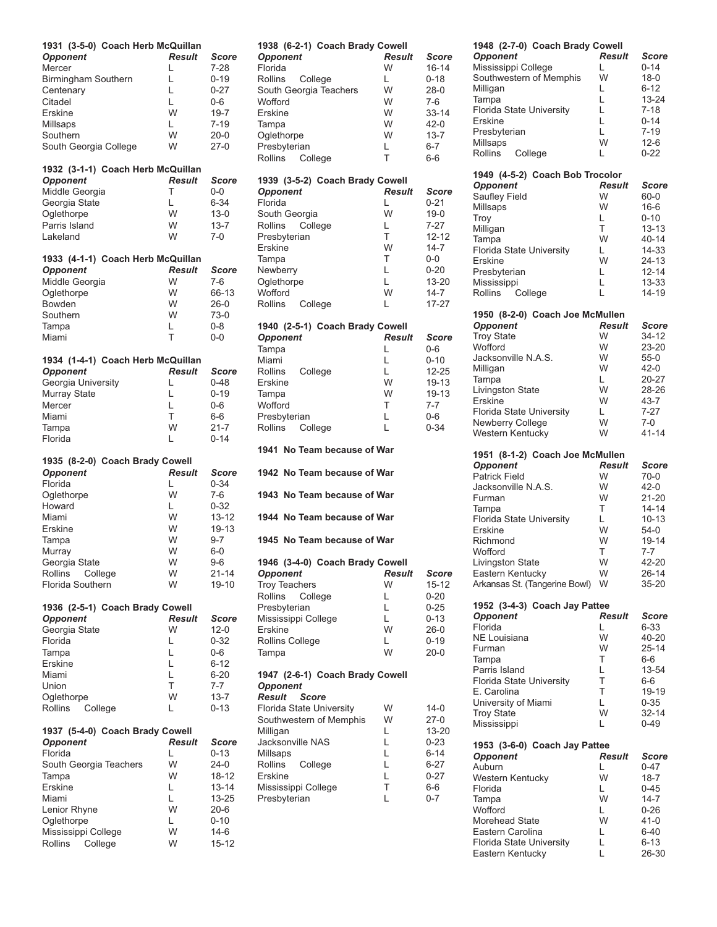| 1931 (3-5-0) Coach Herb McQuillan<br><b>Opponent</b><br>Mercer<br><b>Birmingham Southern</b><br>Centenary<br>Citadel<br>Erskine<br>Millsaps<br>Southern<br>South Georgia College               | <b>Result</b><br>L<br>L<br>L<br>L<br>W<br>Г<br>W<br>W            | Score<br>$7-28$<br>$0 - 19$<br>$0 - 27$<br>$0 - 6$<br>$19 - 7$<br>$7 - 19$<br>$20 - 0$<br>$27-0$              |
|------------------------------------------------------------------------------------------------------------------------------------------------------------------------------------------------|------------------------------------------------------------------|---------------------------------------------------------------------------------------------------------------|
| 1932 (3-1-1) Coach Herb McQuillan<br><b>Opponent</b><br>Middle Georgia<br>Georgia State<br>Oglethorpe<br>Parris Island<br>Lakeland                                                             | <b>Result</b><br>T<br>L<br>W<br>W<br>W                           | Score<br>$0-0$<br>$6 - 34$<br>$13 - 0$<br>$13 - 7$<br>$7-0$                                                   |
| 1933 (4-1-1) Coach Herb McQuillan<br><b>Opponent</b><br>Middle Georgia<br>Oglethorpe<br>Bowden<br>Southern<br>Tampa<br>Miami                                                                   | <b>Result</b><br>W<br>W<br>W<br>W<br>L<br>T                      | Score<br>$7 - 6$<br>66-13<br>$26-0$<br>$73-0$<br>$0 - 8$<br>$0-0$                                             |
| 1934 (1-4-1) Coach Herb McQuillan<br><b>Opponent</b><br>Georgia University<br>Murray State<br>Mercer<br>Miami<br>Tampa<br>Florida                                                              | <b>Result</b><br>L<br>L<br>L<br>T<br>W<br>L                      | Score<br>$0 - 48$<br>$0 - 19$<br>$0 - 6$<br>6-6<br>$21 - 7$<br>$0 - 14$                                       |
| 1935 (8-2-0) Coach Brady Cowell<br><b>Opponent</b><br>Florida<br>Oglethorpe<br>Howard<br>Miami<br>Erskine<br>Tampa<br>Murray<br>Georgia State<br>Rollins<br>College<br><b>Florida Southern</b> | <b>Result</b><br>L<br>W<br>L.<br>W<br>W<br>W<br>W<br>W<br>W<br>W | Score<br>$0 - 34$<br>$7-6$<br>$0 - 32$<br>$13 - 12$<br>19-13<br>$9 - 7$<br>$6-0$<br>9-6<br>$21 - 14$<br>19-10 |
| 1936 (2-5-1) Coach Brady Cowell<br><b>Opponent</b><br>Georgia State<br>Florida<br>Tampa<br>Erskine<br>Miami<br>Union<br>Oglethorpe<br>Rollins<br>College                                       | Result<br>W<br>L<br>L<br>L<br>Г<br>Τ<br>W<br>L                   | Score<br>$12 - 0$<br>$0 - 32$<br>$0 - 6$<br>$6 - 12$<br>$6 - 20$<br>$7 - 7$<br>$13 - 7$<br>$0 - 13$           |
| 1937 (5-4-0) Coach Brady Cowell<br><b>Opponent</b><br>Florida<br>South Georgia Teachers<br>Tampa<br>Erskine<br>Miami<br>Lenior Rhyne<br>Oglethorpe<br>Mississippi College                      | <b>Result</b><br>L<br>W<br>W<br>L<br>L<br>W<br>L.<br>W           | Score<br>$0 - 13$<br>$24-0$<br>18-12<br>$13 - 14$<br>13-25<br>20-6<br>$0 - 10$<br>$14-6$                      |

Rollins College W 15-12

| 1938 (6-2-1) Coach Brady Cowell |               |              |
|---------------------------------|---------------|--------------|
| <b>Opponent</b>                 | <b>Result</b> | Score        |
| Florida                         | W             | 16-14        |
| Rollins<br>College              | L.            | $0 - 18$     |
| South Georgia Teachers          | W             | $28-0$       |
| Wofford                         | W             |              |
|                                 |               | $7-6$        |
| <b>Erskine</b>                  | W             | $33 - 14$    |
| Tampa                           | W             | $42 - 0$     |
| Oglethorpe                      | W             | $13 - 7$     |
| Presbyterian                    | L.            | $6 - 7$      |
|                                 |               |              |
| <b>Rollins</b><br>College       | T             | $6-6$        |
|                                 |               |              |
| 1939 (3-5-2) Coach Brady Cowell |               |              |
| <b>Opponent</b>                 | Result        | <b>Score</b> |
| Florida                         | L             | $0 - 21$     |
|                                 | W             |              |
| South Georgia                   |               | $19-0$       |
| Rollins<br>College              | L             | 7-27         |
| Presbyterian                    | T             | $12 - 12$    |
| <b>Erskine</b>                  | W             | $14 - 7$     |
| Tampa                           | T             | $0-0$        |
|                                 |               |              |
| Newberry                        | Г             | $0 - 20$     |
| Oglethorpe                      | Г             | 13-20        |
| Wofford                         | W             | $14 - 7$     |
| Rollins<br>College              | L             | 17-27        |
|                                 |               |              |
|                                 |               |              |
| 1940 (2-5-1) Coach Brady Cowell |               |              |
| <b>Opponent</b>                 | <b>Result</b> | Score        |
| Tampa                           | L             | $0-6$        |
| Miami                           | Г             | $0 - 10$     |
|                                 |               |              |
| Rollins<br>College              | L             | 12-25        |
| Erskine                         | W             | 19-13        |
| Tampa                           | W             | 19-13        |
| Wofford                         | T             | $7 - 7$      |
| Presbyterian                    | Г             | $0 - 6$      |
|                                 |               |              |
| Rollins<br>College              | L             | $0 - 34$     |
|                                 |               |              |
|                                 |               |              |
| 1941 No Team because of War     |               |              |
|                                 |               |              |
|                                 |               |              |
| 1942 No Team because of War     |               |              |
|                                 |               |              |
| 1943 No Team because of War     |               |              |
|                                 |               |              |
| 1944 No Team because of War     |               |              |
|                                 |               |              |
|                                 |               |              |
| 1945 No Team because of War     |               |              |
|                                 |               |              |
| 1946 (3-4-0) Coach Brady Cowell |               |              |
| <b>Opponent</b>                 | Result        | Score        |
|                                 | W             |              |
| <b>Troy Teachers</b>            |               | $15 - 12$    |
| Rollins<br>College              | L             | $0 - 20$     |
| Presbyterian                    | L             | $0 - 25$     |
| Mississippi College             | L             | $0 - 13$     |
| Erskine                         | W             | $26-0$       |
|                                 | L.            |              |
| Rollins College                 |               | $0 - 19$     |
| Tampa                           | W             | $20 - 0$     |
|                                 |               |              |
| 1947 (2-6-1) Coach Brady Cowell |               |              |
| <b>Opponent</b>                 |               |              |
| Result<br><b>Score</b>          |               |              |
|                                 |               |              |
| Florida State University        | W             | 14-0         |
| Southwestern of Memphis         | W             | 27-0         |
| Milligan                        | L             | 13-20        |
| Jacksonville NAS                | L             | $0 - 23$     |
|                                 | L             | $6 - 14$     |
| Millsaps                        |               |              |
| Rollins<br>College              | L             | $6 - 27$     |
| <b>Erskine</b>                  | L             | $0 - 27$     |
| Mississippi College             | T             | 6-6          |
| Presbyterian                    | L             | $0 - 7$      |
|                                 |               |              |
|                                 |               |              |
|                                 |               |              |
|                                 |               |              |

| 1948 (2-7-0) Coach Brady Cowell                     |               |                   |
|-----------------------------------------------------|---------------|-------------------|
| <b>Opponent</b>                                     | <b>Result</b> | <b>Score</b>      |
| Mississippi College                                 | L             | 0-14              |
| Southwestern of Memphis                             | W             | 18-0              |
| Milligan                                            | L             | 6-12              |
| Tampa                                               | Г             | 13-24             |
| <b>Florida State University</b>                     | L             | $7 - 18$          |
| Erskine                                             | Г             | $0 - 14$          |
| Presbyterian                                        | Г             | $7 - 19$          |
| Millsaps                                            | W             | $12-6$            |
| Rollins<br>College                                  | Г             | $0 - 22$          |
|                                                     |               |                   |
| 1949 (4-5-2) Coach Bob Trocolor                     |               |                   |
| <b>Opponent</b>                                     | <b>Result</b> | <b>Score</b>      |
| Saufley Field                                       | W             | 60-0              |
| Millsaps                                            | W             | $16-6$            |
| Troy                                                | L             | 0-10              |
| Milligan                                            | T             | $13 - 13$         |
| Tampa                                               | W             | 40-14             |
| <b>Florida State University</b>                     | L             | 14-33             |
| Erskine                                             | W             | 24-13             |
|                                                     | L             | $12 - 14$         |
| Presbyterian<br>Mississippi                         | L             | 13-33             |
|                                                     | L             |                   |
| Rollins<br>College                                  |               | 14-19             |
| 1950 (8-2-0) Coach Joe McMullen                     |               |                   |
| Opponent                                            | <b>Result</b> | <b>Score</b>      |
| <b>Troy State</b>                                   | W             | 34-12             |
| Wofford                                             | W             | 23-20             |
| Jacksonville N.A.S.                                 | W             | $55-0$            |
| Milligan                                            | W             | 42-0              |
| Tampa                                               | Г             | 20-27             |
| Livingston State                                    | W             | 28-26             |
| Erskine                                             | W             | 43-7              |
| <b>Florida State University</b>                     | L.            | $7 - 27$          |
| Newberry College                                    | W             | $7-0$             |
| Western Kentucky                                    | W             | 41-14             |
|                                                     |               |                   |
|                                                     |               |                   |
|                                                     |               |                   |
| 1951 (8-1-2) Coach Joe McMullen                     | <b>Result</b> | Score             |
| <b>Opponent</b><br>Patrick Field                    | W             | $70-0$            |
| Jacksonville N.A.S.                                 | W             | 42-0              |
| Furman                                              | W             | $21 - 20$         |
| Tampa                                               | T             | $14 - 14$         |
|                                                     | L             | $10 - 13$         |
| Florida State University<br>Erskine                 | W             | $54-0$            |
| Richmond                                            | W             | 19-14             |
| Wofford                                             | т             | 7-7               |
| Livingston State                                    | W             | 42-20             |
| Eastern Kentucky                                    | W             | 26-14             |
| Arkansas St. (Tangerine Bowl)                       | W             | 35-20             |
|                                                     |               |                   |
| 1952 (3-4-3) Coach Jay Pattee                       |               |                   |
| <b>Opponent</b>                                     | <b>Result</b> | Score             |
| Florida                                             | L             | 6-33              |
| NE Louisiana                                        | W             | 40-20             |
| Furman                                              | W             | 25-14             |
| Tampa                                               | Τ             | 6-6               |
| Parris Island                                       | L             | 13-54             |
| Florida State University                            | Τ             | $6-6$             |
| E. Carolina                                         | T             | 19-19             |
| University of Miami                                 | L             | $0 - 35$          |
| <b>Troy State</b>                                   | W             | 32-14             |
| Mississippi                                         | L             | 0-49              |
|                                                     |               |                   |
| 1953 (3-6-0) Coach Jay Pattee                       |               |                   |
| <b>Opponent</b>                                     | <b>Result</b> | Score             |
| Auburn                                              | L             | 0-47              |
| Western Kentucky                                    | W             | 18-7              |
| Florida                                             | L             | 0-45              |
| Tampa                                               | W             | 14-7              |
| Wofford                                             | L             | 0-26              |
| Morehead State                                      | W             | 41-0              |
| Eastern Carolina                                    | L             | 6-40              |
| <b>Florida State University</b><br>Eastern Kentucky | Г<br>L        | $6 - 13$<br>26-30 |